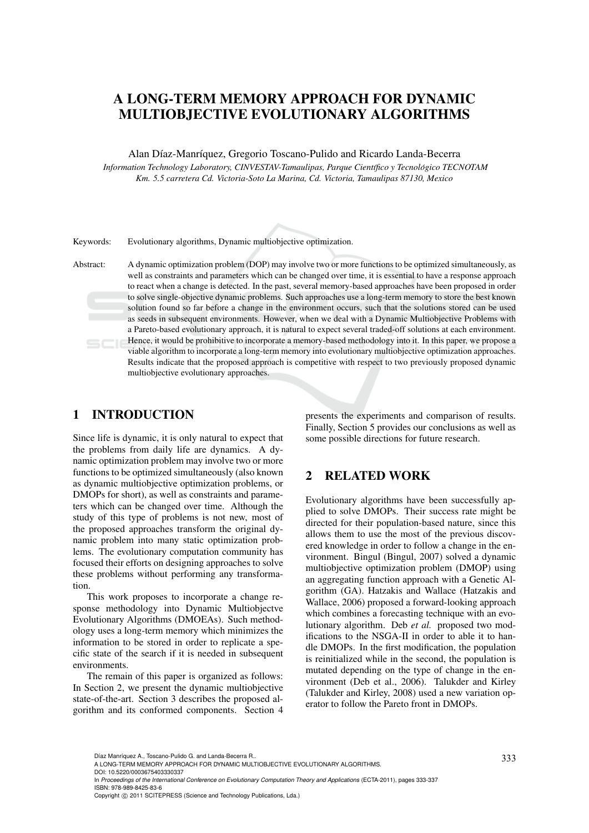# A LONG-TERM MEMORY APPROACH FOR DYNAMIC MULTIOBJECTIVE EVOLUTIONARY ALGORITHMS

Alan Díaz-Manríquez, Gregorio Toscano-Pulido and Ricardo Landa-Becerra

*Information Technology Laboratory, CINVESTAV-Tamaulipas, Parque Cient´ıfico y Tecnologico TECNOTAM ´ Km. 5.5 carretera Cd. Victoria-Soto La Marina, Cd. Victoria, Tamaulipas 87130, Mexico*

Keywords: Evolutionary algorithms, Dynamic multiobjective optimization.

Abstract: A dynamic optimization problem (DOP) may involve two or more functions to be optimized simultaneously, as well as constraints and parameters which can be changed over time, it is essential to have a response approach to react when a change is detected. In the past, several memory-based approaches have been proposed in order to solve single-objective dynamic problems. Such approaches use a long-term memory to store the best known solution found so far before a change in the environment occurs, such that the solutions stored can be used as seeds in subsequent environments. However, when we deal with a Dynamic Multiobjective Problems with a Pareto-based evolutionary approach, it is natural to expect several traded-off solutions at each environment. Hence, it would be prohibitive to incorporate a memory-based methodology into it. In this paper, we propose a  $5C<sub>16</sub>$ viable algorithm to incorporate a long-term memory into evolutionary multiobjective optimization approaches. Results indicate that the proposed approach is competitive with respect to two previously proposed dynamic multiobjective evolutionary approaches.

# 1 INTRODUCTION

Since life is dynamic, it is only natural to expect that the problems from daily life are dynamics. A dynamic optimization problem may involve two or more functions to be optimized simultaneously (also known as dynamic multiobjective optimization problems, or DMOPs for short), as well as constraints and parameters which can be changed over time. Although the study of this type of problems is not new, most of the proposed approaches transform the original dynamic problem into many static optimization problems. The evolutionary computation community has focused their efforts on designing approaches to solve these problems without performing any transformation.

This work proposes to incorporate a change response methodology into Dynamic Multiobjectve Evolutionary Algorithms (DMOEAs). Such methodology uses a long-term memory which minimizes the information to be stored in order to replicate a specific state of the search if it is needed in subsequent environments.

The remain of this paper is organized as follows: In Section 2, we present the dynamic multiobjective state-of-the-art. Section 3 describes the proposed algorithm and its conformed components. Section 4

presents the experiments and comparison of results. Finally, Section 5 provides our conclusions as well as some possible directions for future research.

# 2 RELATED WORK

Evolutionary algorithms have been successfully applied to solve DMOPs. Their success rate might be directed for their population-based nature, since this allows them to use the most of the previous discovered knowledge in order to follow a change in the environment. Bingul (Bingul, 2007) solved a dynamic multiobjective optimization problem (DMOP) using an aggregating function approach with a Genetic Algorithm (GA). Hatzakis and Wallace (Hatzakis and Wallace, 2006) proposed a forward-looking approach which combines a forecasting technique with an evolutionary algorithm. Deb *et al.* proposed two modifications to the NSGA-II in order to able it to handle DMOPs. In the first modification, the population is reinitialized while in the second, the population is mutated depending on the type of change in the environment (Deb et al., 2006). Talukder and Kirley (Talukder and Kirley, 2008) used a new variation operator to follow the Pareto front in DMOPs.

<sup>333</sup> Díaz Manríquez A., Toscano-Pulido G. and Landa-Becerra R.. A LONG-TERM MEMORY APPROACH FOR DYNAMIC MULTIOBJECTIVE EVOLUTIONARY ALGORITHMS.

DOI: 10.5220/0003675403330337

In *Proceedings of the International Conference on Evolutionary Computation Theory and Applications* (ECTA-2011), pages 333-337 ISBN: 978-989-8425-83-6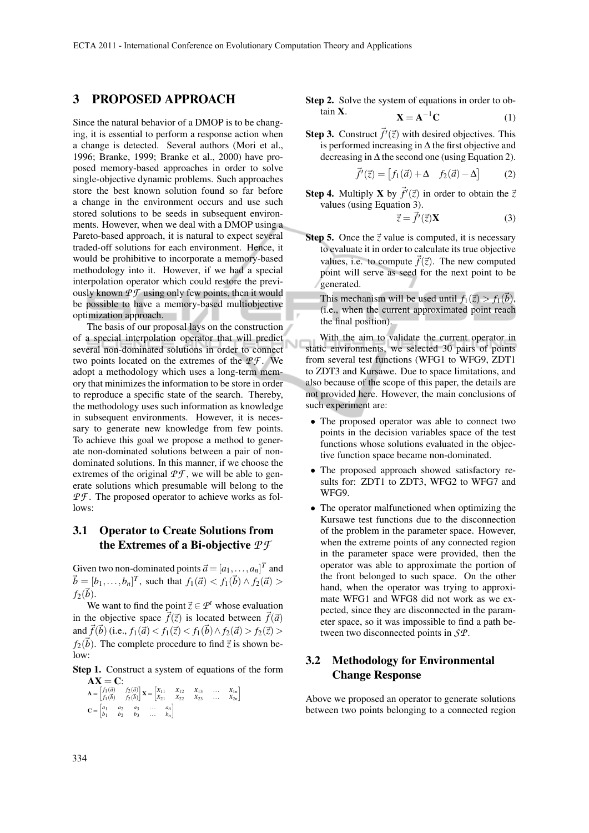### 3 PROPOSED APPROACH

Since the natural behavior of a DMOP is to be changing, it is essential to perform a response action when a change is detected. Several authors (Mori et al., 1996; Branke, 1999; Branke et al., 2000) have proposed memory-based approaches in order to solve single-objective dynamic problems. Such approaches store the best known solution found so far before a change in the environment occurs and use such stored solutions to be seeds in subsequent environments. However, when we deal with a DMOP using a Pareto-based approach, it is natural to expect several traded-off solutions for each environment. Hence, it would be prohibitive to incorporate a memory-based methodology into it. However, if we had a special interpolation operator which could restore the previously known  $\mathcal{P}\mathcal{F}$  using only few points, then it would be possible to have a memory-based multiobjective optimization approach.

The basis of our proposal lays on the construction of a special interpolation operator that will predict several non-dominated solutions in order to connect two points located on the extremes of the *P F* . We adopt a methodology which uses a long-term memory that minimizes the information to be store in order to reproduce a specific state of the search. Thereby, the methodology uses such information as knowledge in subsequent environments. However, it is necessary to generate new knowledge from few points. To achieve this goal we propose a method to generate non-dominated solutions between a pair of nondominated solutions. In this manner, if we choose the extremes of the original  $\mathcal{P} \mathcal{F}$ , we will be able to generate solutions which presumable will belong to the *PF*. The proposed operator to achieve works as follows:

### 3.1 Operator to Create Solutions from the Extremes of a Bi-objective *P F*

Given two non-dominated points  $\vec{a} = [a_1, \ldots, a_n]^T$  and  $\vec{b} = [b_1, \ldots, b_n]^T$ , such that  $f_1(\vec{a}) < f_1(\vec{b}) \wedge f_2(\vec{a}) >$  $f_2(\vec{b})$ .

We want to find the point  $\vec{z} \in \mathcal{P}^t$  whose evaluation in the objective space  $\vec{f}(\vec{z})$  is located between  $\vec{f}(\vec{a})$ and  $\vec{f}(\vec{b})$  (i.e.,  $f_1(\vec{a}) < f_1(\vec{z}) < f_1(\vec{b}) \land f_2(\vec{a}) > f_2(\vec{z}) >$  $f_2(\vec{b})$ . The complete procedure to find  $\vec{z}$  is shown below:

#### Step 1. Construct a system of equations of the form  $AX = C$ :

$$
\mathbf{A} = \begin{bmatrix} f_1(\vec{a}) & f_2(\vec{a}) \\ f_1(\vec{b}) & f_2(\vec{b}) \end{bmatrix} \mathbf{X} = \begin{bmatrix} X_{11} & X_{12} & X_{13} & \dots & X_{1n} \\ X_{21} & X_{22} & X_{23} & \dots & X_{2n} \end{bmatrix}
$$

$$
\mathbf{C} = \begin{bmatrix} a_1 & a_2 & a_3 & \dots & a_n \\ b_1 & b_2 & b_3 & \dots & b_n \end{bmatrix}
$$

**Step 2.** Solve the system of equations in order to obtain **X**.  

$$
\mathbf{X} = \mathbf{A}^{-1} \mathbf{C}
$$
 (1)

**Step 3.** Construct  $\vec{f}'(\vec{z})$  with desired objectives. This is performed increasing in ∆ the first objective and decreasing in  $\Delta$  the second one (using Equation 2).

$$
\vec{f}'(\vec{z}) = [f_1(\vec{a}) + \Delta \quad f_2(\vec{a}) - \Delta] \tag{2}
$$

**Step 4.** Multiply **X** by  $\vec{f}'(\vec{z})$  in order to obtain the  $\vec{z}$ values (using Equation 3).

$$
\vec{z} = \vec{f}'(\vec{z})\mathbf{X} \tag{3}
$$

**Step 5.** Once the  $\vec{z}$  value is computed, it is necessary to evaluate it in order to calculate its true objective values, i.e. to compute  $\vec{f}(\vec{z})$ . The new computed point will serve as seed for the next point to be generated.

This mechanism will be used until  $f_1(\vec{z}) > f_1(\vec{b}),$ (i.e., when the current approximated point reach the final position).

With the aim to validate the current operator in static environments, we selected 30 pairs of points from several test functions (WFG1 to WFG9, ZDT1 to ZDT3 and Kursawe. Due to space limitations, and also because of the scope of this paper, the details are not provided here. However, the main conclusions of such experiment are:

- The proposed operator was able to connect two points in the decision variables space of the test functions whose solutions evaluated in the objective function space became non-dominated.
- The proposed approach showed satisfactory results for: ZDT1 to ZDT3, WFG2 to WFG7 and WFG9.
- The operator malfunctioned when optimizing the Kursawe test functions due to the disconnection of the problem in the parameter space. However, when the extreme points of any connected region in the parameter space were provided, then the operator was able to approximate the portion of the front belonged to such space. On the other hand, when the operator was trying to approximate WFG1 and WFG8 did not work as we expected, since they are disconnected in the parameter space, so it was impossible to find a path between two disconnected points in *SP*.

# 3.2 Methodology for Environmental Change Response

Above we proposed an operator to generate solutions between two points belonging to a connected region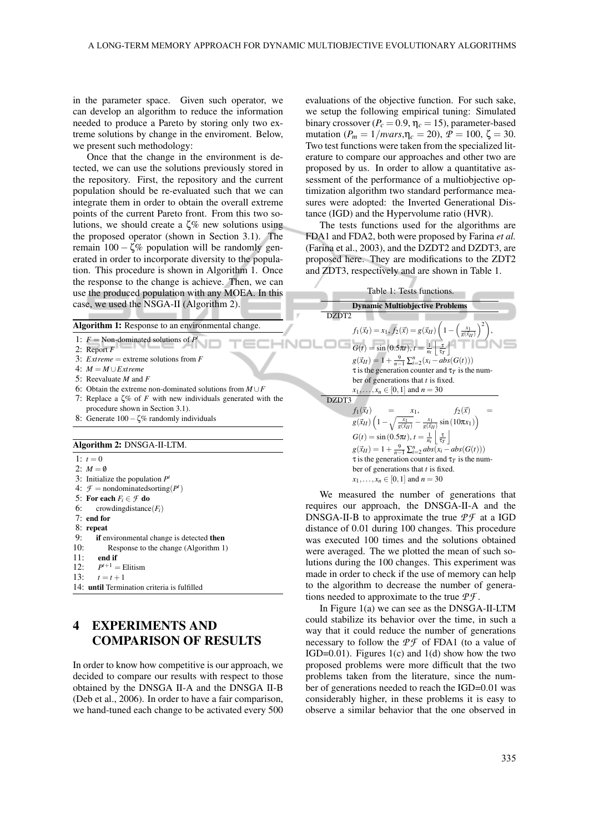in the parameter space. Given such operator, we can develop an algorithm to reduce the information needed to produce a Pareto by storing only two extreme solutions by change in the enviroment. Below, we present such methodology:

Once that the change in the environment is detected, we can use the solutions previously stored in the repository. First, the repository and the current population should be re-evaluated such that we can integrate them in order to obtain the overall extreme points of the current Pareto front. From this two solutions, we should create a  $\zeta$ % new solutions using the proposed operator (shown in Section 3.1). The remain  $100 - \zeta\%$  population will be randomly generated in order to incorporate diversity to the population. This procedure is shown in Algorithm 1. Once the response to the change is achieve. Then, we can use the produced population with any MOEA. In this case, we used the NSGA-II (Algorithm 2).

Algorithm 1: Response to an environmental change.

1:  $F = \text{Non-dominated solutions of } P^t$ 

- 2: Report *F*
- 3: *Extreme* = extreme solutions from *F*
- $4: M = M \cup$ *Extreme*
- 5: Reevaluate *M* and *F*
- 6: Obtain the extreme non-dominated solutions from *M* ∪*F*
- 7: Replace a ζ% of *F* with new individuals generated with the procedure shown in Section 3.1).
- 8: Generate 100−ζ% randomly individuals

#### Algorithm 2: DNSGA-II-LTM.

1:  $t = 0$ 

2:  $M = \emptyset$ 

- 3: Initialize the population *P t*
- 4:  $\mathcal{F} =$  nondominatedsorting( $P^t$ )
- 5: For each  $F_i \in \mathcal{F}$  do<br>6: crowding distance
- $c$ rowdingdistance $(F_i)$
- 7: end for
- 8: repeat
- 9: **if** environmental change is detected **then** 10: **Response to the change (Algorithm 1**)
- Response to the change (Algorithm 1)
- 11: end if
- $12:$  $P^{t+1} =$ Elitism 13:  $t = t + 1$
- 14: until Termination criteria is fulfilled

# 4 EXPERIMENTS AND COMPARISON OF RESULTS

In order to know how competitive is our approach, we decided to compare our results with respect to those obtained by the DNSGA II-A and the DNSGA II-B (Deb et al., 2006). In order to have a fair comparison, we hand-tuned each change to be activated every 500 evaluations of the objective function. For such sake, we setup the following empirical tuning: Simulated binary crossover ( $P_c = 0.9$ ,  $\eta_c = 15$ ), parameter-based mutation ( $P_m = 1/n \text{vars}, \eta_c = 20$ ),  $P = 100$ ,  $\zeta = 30$ . Two test functions were taken from the specialized literature to compare our approaches and other two are proposed by us. In order to allow a quantitative assessment of the performance of a multiobjective optimization algorithm two standard performance measures were adopted: the Inverted Generational Distance (IGD) and the Hypervolume ratio (HVR).

The tests functions used for the algorithms are FDA1 and FDA2, both were proposed by Farina *et al.* (Farina et al., 2003), and the DZDT2 and DZDT3, are proposed here. They are modifications to the ZDT2 and ZDT3, respectively and are shown in Table 1.



We measured the number of generations that requires our approach, the DNSGA-II-A and the DNSGA-II-B to approximate the true  $P\mathcal{F}$  at a IGD distance of 0.01 during 100 changes. This procedure was executed 100 times and the solutions obtained were averaged. The we plotted the mean of such solutions during the 100 changes. This experiment was made in order to check if the use of memory can help to the algorithm to decrease the number of generations needed to approximate to the true *P F* .

In Figure 1(a) we can see as the DNSGA-II-LTM could stabilize its behavior over the time, in such a way that it could reduce the number of generations necessary to follow the  $\mathcal{PF}$  of FDA1 (to a value of IGD=0.01). Figures 1(c) and 1(d) show how the two proposed problems were more difficult that the two problems taken from the literature, since the number of generations needed to reach the IGD=0.01 was considerably higher, in these problems it is easy to observe a similar behavior that the one observed in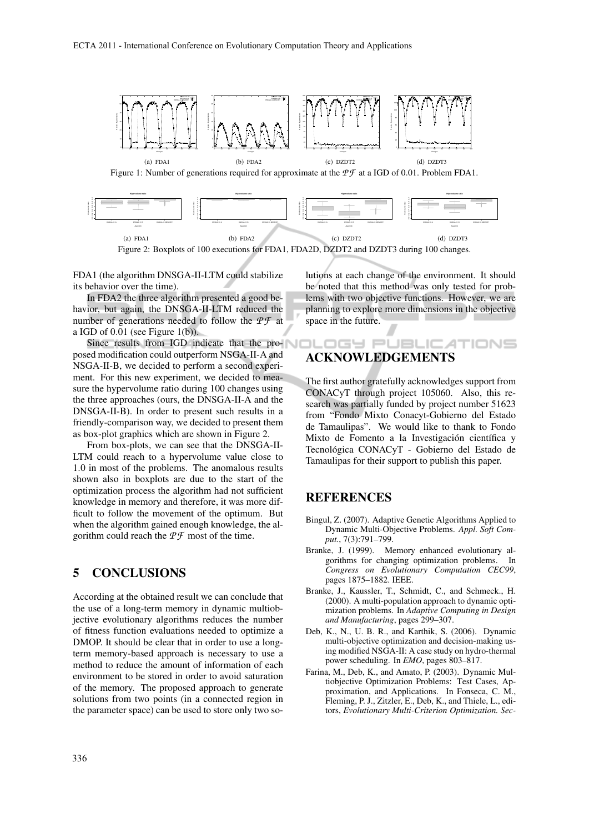



FDA1 (the algorithm DNSGA-II-LTM could stabilize its behavior over the time).

In FDA2 the three algorithm presented a good behavior, but again, the DNSGA-II-LTM reduced the number of generations needed to follow the  $P\mathcal{F}$  at a IGD of  $0.01$  (see Figure  $1(b)$ ).

Since results from IGD indicate that the proposed modification could outperform NSGA-II-A and NSGA-II-B, we decided to perform a second experiment. For this new experiment, we decided to measure the hypervolume ratio during 100 changes using the three approaches (ours, the DNSGA-II-A and the DNSGA-II-B). In order to present such results in a friendly-comparison way, we decided to present them as box-plot graphics which are shown in Figure 2.

From box-plots, we can see that the DNSGA-II-LTM could reach to a hypervolume value close to 1.0 in most of the problems. The anomalous results shown also in boxplots are due to the start of the optimization process the algorithm had not sufficient knowledge in memory and therefore, it was more difficult to follow the movement of the optimum. But when the algorithm gained enough knowledge, the algorithm could reach the *P F* most of the time.

## 5 CONCLUSIONS

According at the obtained result we can conclude that the use of a long-term memory in dynamic multiobjective evolutionary algorithms reduces the number of fitness function evaluations needed to optimize a DMOP. It should be clear that in order to use a longterm memory-based approach is necessary to use a method to reduce the amount of information of each environment to be stored in order to avoid saturation of the memory. The proposed approach to generate solutions from two points (in a connected region in the parameter space) can be used to store only two solutions at each change of the environment. It should be noted that this method was only tested for problems with two objective functions. However, we are planning to explore more dimensions in the objective space in the future.

#### JBLIC .ogy et ACKNOWLEDGEMENTS

The first author gratefully acknowledges support from CONACyT through project 105060. Also, this research was partially funded by project number 51623 from "Fondo Mixto Conacyt-Gobierno del Estado de Tamaulipas". We would like to thank to Fondo Mixto de Fomento a la Investigación científica y Tecnológica CONACyT - Gobierno del Estado de Tamaulipas for their support to publish this paper.

#### **REFERENCES**

- Bingul, Z. (2007). Adaptive Genetic Algorithms Applied to Dynamic Multi-Objective Problems. *Appl. Soft Comput.*, 7(3):791–799.
- Branke, J. (1999). Memory enhanced evolutionary algorithms for changing optimization problems. In *Congress on Evolutionary Computation CEC99*, pages 1875–1882. IEEE.
- Branke, J., Kaussler, T., Schmidt, C., and Schmeck., H. (2000). A multi-population approach to dynamic optimization problems. In *Adaptive Computing in Design and Manufacturing*, pages 299–307.
- Deb, K., N., U. B. R., and Karthik, S. (2006). Dynamic multi-objective optimization and decision-making using modified NSGA-II: A case study on hydro-thermal power scheduling. In *EMO*, pages 803–817.
- Farina, M., Deb, K., and Amato, P. (2003). Dynamic Multiobjective Optimization Problems: Test Cases, Approximation, and Applications. In Fonseca, C. M., Fleming, P. J., Zitzler, E., Deb, K., and Thiele, L., editors, *Evolutionary Multi-Criterion Optimization. Sec-*